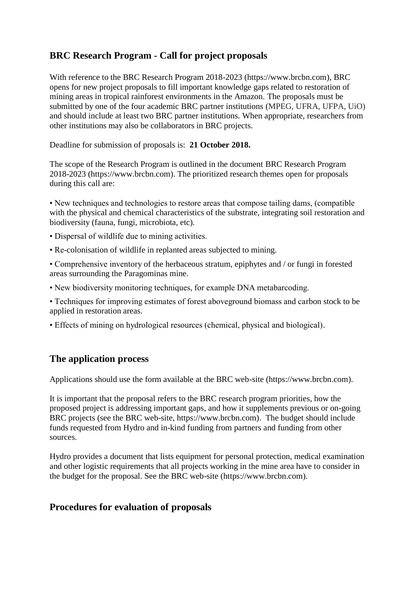## **BRC Research Program - Call for project proposals**

With reference to the BRC Research Program 2018-2023 (https://www.brcbn.com), BRC opens for new project proposals to fill important knowledge gaps related to restoration of mining areas in tropical rainforest environments in the Amazon. The proposals must be submitted by one of the four academic BRC partner institutions (MPEG, UFRA, UFPA, UiO) and should include at least two BRC partner institutions. When appropriate, researchers from other institutions may also be collaborators in BRC projects.

Deadline for submission of proposals is: **21 October 2018.**

The scope of the Research Program is outlined in the document BRC Research Program 2018-2023 (https://www.brcbn.com). The prioritized research themes open for proposals during this call are:

• New techniques and technologies to restore areas that compose tailing dams, (compatible with the physical and chemical characteristics of the substrate, integrating soil restoration and biodiversity (fauna, fungi, microbiota, etc).

- Dispersal of wildlife due to mining activities.
- Re-colonisation of wildlife in replanted areas subjected to mining.
- Comprehensive inventory of the herbaceous stratum, epiphytes and / or fungi in forested areas surrounding the Paragominas mine.
- New biodiversity monitoring techniques, for example DNA metabarcoding.
- Techniques for improving estimates of forest aboveground biomass and carbon stock to be applied in restoration areas.
- Effects of mining on hydrological resources (chemical, physical and biological).

## **The application process**

Applications should use the form available at the BRC web-site (https://www.brcbn.com).

It is important that the proposal refers to the BRC research program priorities, how the proposed project is addressing important gaps, and how it supplements previous or on-going BRC projects (see the BRC web-site, https://www.brcbn.com). The budget should include funds requested from Hydro and in-kind funding from partners and funding from other sources.

Hydro provides a document that lists equipment for personal protection, medical examination and other logistic requirements that all projects working in the mine area have to consider in the budget for the proposal. See the BRC web-site (https://www.brcbn.com).

## **Procedures for evaluation of proposals**